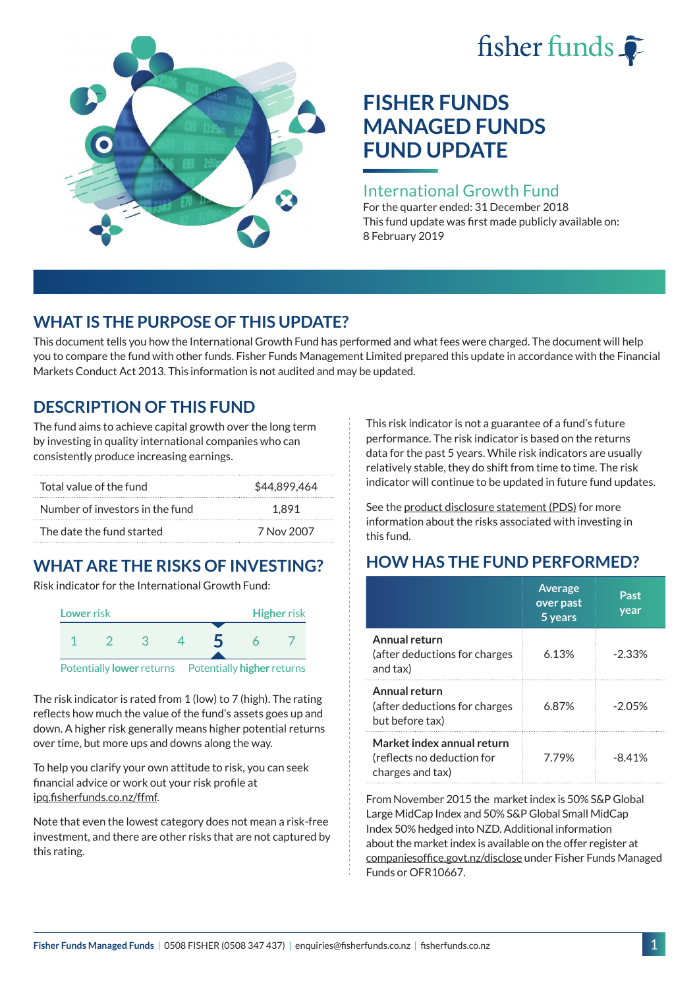# fisher funds  $\hat{\bullet}$



# **FISHER FUNDS MANAGED FUNDS FUND UPDATE**

### International Growth Fund

For the quarter ended: 31 December 2018 This fund update was first made publicly available on: 8 February 2019

## **WHAT IS THE PURPOSE OF THIS UPDATE?**

This document tells you how the International Growth Fund has performed and what fees were charged. The document will help you to compare the fund with other funds. Fisher Funds Management Limited prepared this update in accordance with the Financial Markets Conduct Act 2013. This information is not audited and may be updated.

## **DESCRIPTION OF THIS FUND**

The fund aims to achieve capital growth over the long term by investing in quality international companies who can consistently produce increasing earnings.

| Total value of the fund         | \$44.899.464 |
|---------------------------------|--------------|
| Number of investors in the fund | 1.891        |
| The date the fund started       | 7 Nov 2007   |

## **WHAT ARE THE RISKS OF INVESTING?**

Risk indicator for the International Growth Fund:



The risk indicator is rated from 1 (low) to 7 (high). The rating reflects how much the value of the fund's assets goes up and down. A higher risk generally means higher potential returns over time, but more ups and downs along the way.

To help you clarify your own attitude to risk, you can seek financial advice or work out your risk profile at [ipq.fisherfunds.co.nz/ffmf](https://ipq.fisherfunds.co.nz/ffmf).

Note that even the lowest category does not mean a risk-free investment, and there are other risks that are not captured by this rating.

This risk indicator is not a guarantee of a fund's future performance. The risk indicator is based on the returns data for the past 5 years. While risk indicators are usually relatively stable, they do shift from time to time. The risk indicator will continue to be updated in future fund updates.

See the [product disclosure statement \(PDS\)](https://fisherfunds.co.nz/assets/PDS/Fisher-Funds-Managed-Funds-PDS.pdf) for more information about the risks associated with investing in this fund.

## **HOW HAS THE FUND PERFORMED?**

|                                                                              | <b>Average</b><br>over past<br>5 years | Past<br>year |
|------------------------------------------------------------------------------|----------------------------------------|--------------|
| Annual return<br>(after deductions for charges<br>and tax)                   | 6.13%                                  | $-2.33\%$    |
| Annual return<br>(after deductions for charges<br>but before tax)            | 6.87%                                  | $-2.05%$     |
| Market index annual return<br>(reflects no deduction for<br>charges and tax) | 7.79%                                  | $-8.41%$     |

From November 2015 the market index is 50% S&P Global Large MidCap Index and 50% S&P Global Small MidCap Index 50% hedged into NZD. Additional information about the market index is available on the offer register at [companiesoffice.govt.nz/disclose](http://companiesoffice.govt.nz/disclose) under Fisher Funds Managed Funds or OFR10667.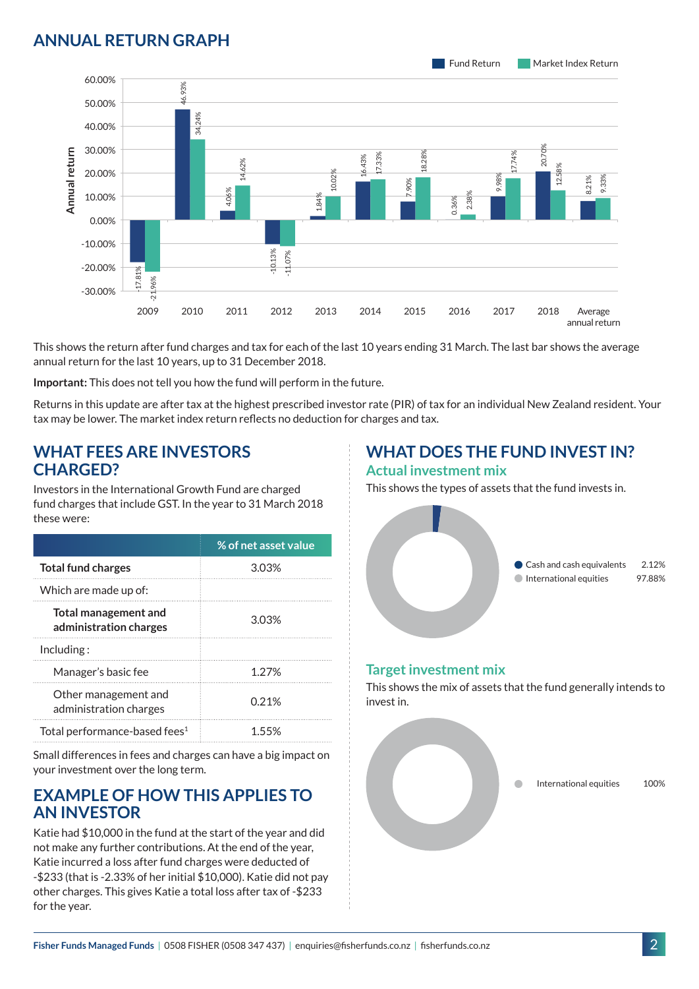## **ANNUAL RETURN GRAPH**



This shows the return after fund charges and tax for each of the last 10 years ending 31 March. The last bar shows the average annual return for the last 10 years, up to 31 December 2018.

**Important:** This does not tell you how the fund will perform in the future.

Returns in this update are after tax at the highest prescribed investor rate (PIR) of tax for an individual New Zealand resident. Your tax may be lower. The market index return reflects no deduction for charges and tax.

#### **WHAT FEES ARE INVESTORS CHARGED?**

Investors in the International Growth Fund are charged fund charges that include GST. In the year to 31 March 2018 these were:

|                                                       | % of net asset value |
|-------------------------------------------------------|----------------------|
| <b>Total fund charges</b>                             | 303%                 |
| Which are made up of:                                 |                      |
| <b>Total management and</b><br>administration charges | 3.03%                |
| Inding:                                               |                      |
| Manager's basic fee                                   | 1.27%                |
| Other management and<br>administration charges        | 0.21%                |
| Total performance-based fees <sup>1</sup>             | 155%                 |

Small differences in fees and charges can have a big impact on your investment over the long term.

#### **EXAMPLE OF HOW THIS APPLIES TO AN INVESTOR**

Katie had \$10,000 in the fund at the start of the year and did not make any further contributions. At the end of the year, Katie incurred a loss after fund charges were deducted of -\$233 (that is -2.33% of her initial \$10,000). Katie did not pay other charges. This gives Katie a total loss after tax of -\$233 for the year.

# **WHAT DOES THE FUND INVEST IN?**

#### **Actual investment mix**

This shows the types of assets that the fund invests in.



#### **Target investment mix**

This shows the mix of assets that the fund generally intends to invest in.